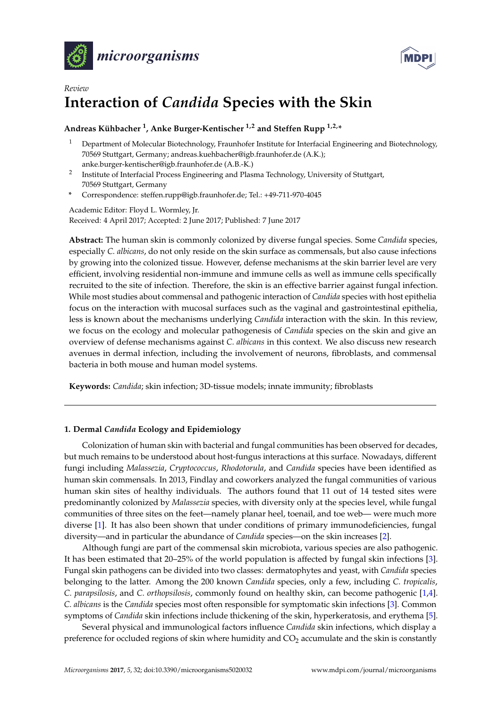



# *Review* **Interaction of** *Candida* **Species with the Skin**

# **Andreas Kühbacher <sup>1</sup> , Anke Burger-Kentischer 1,2 and Steffen Rupp 1,2,\***

- <sup>1</sup> Department of Molecular Biotechnology, Fraunhofer Institute for Interfacial Engineering and Biotechnology, 70569 Stuttgart, Germany; andreas.kuehbacher@igb.fraunhofer.de (A.K.); anke.burger-kentischer@igb.fraunhofer.de (A.B.-K.)
- 2 Institute of Interfacial Process Engineering and Plasma Technology, University of Stuttgart, 70569 Stuttgart, Germany
- **\*** Correspondence: steffen.rupp@igb.fraunhofer.de; Tel.: +49-711-970-4045

Academic Editor: Floyd L. Wormley, Jr. Received: 4 April 2017; Accepted: 2 June 2017; Published: 7 June 2017

**Abstract:** The human skin is commonly colonized by diverse fungal species. Some *Candida* species, especially *C. albicans*, do not only reside on the skin surface as commensals, but also cause infections by growing into the colonized tissue. However, defense mechanisms at the skin barrier level are very efficient, involving residential non-immune and immune cells as well as immune cells specifically recruited to the site of infection. Therefore, the skin is an effective barrier against fungal infection. While most studies about commensal and pathogenic interaction of *Candida* species with host epithelia focus on the interaction with mucosal surfaces such as the vaginal and gastrointestinal epithelia, less is known about the mechanisms underlying *Candida* interaction with the skin. In this review, we focus on the ecology and molecular pathogenesis of *Candida* species on the skin and give an overview of defense mechanisms against *C. albicans* in this context. We also discuss new research avenues in dermal infection, including the involvement of neurons, fibroblasts, and commensal bacteria in both mouse and human model systems.

**Keywords:** *Candida*; skin infection; 3D-tissue models; innate immunity; fibroblasts

# **1. Dermal** *Candida* **Ecology and Epidemiology**

Colonization of human skin with bacterial and fungal communities has been observed for decades, but much remains to be understood about host-fungus interactions at this surface. Nowadays, different fungi including *Malassezia*, *Cryptococcus*, *Rhodotorula*, and *Candida* species have been identified as human skin commensals. In 2013, Findlay and coworkers analyzed the fungal communities of various human skin sites of healthy individuals. The authors found that 11 out of 14 tested sites were predominantly colonized by *Malassezia* species, with diversity only at the species level, while fungal communities of three sites on the feet—namely planar heel, toenail, and toe web— were much more diverse [\[1\]](#page-6-0). It has also been shown that under conditions of primary immunodeficiencies, fungal diversity—and in particular the abundance of *Candida* species—on the skin increases [\[2\]](#page-6-1).

Although fungi are part of the commensal skin microbiota, various species are also pathogenic. It has been estimated that 20–25% of the world population is affected by fungal skin infections [\[3\]](#page-6-2). Fungal skin pathogens can be divided into two classes: dermatophytes and yeast, with *Candida* species belonging to the latter. Among the 200 known *Candida* species, only a few, including *C. tropicalis*, *C. parapsilosis*, and *C. orthopsilosis*, commonly found on healthy skin, can become pathogenic [\[1,](#page-6-0)[4\]](#page-6-3). *C. albicans* is the *Candida* species most often responsible for symptomatic skin infections [\[3\]](#page-6-2). Common symptoms of *Candida* skin infections include thickening of the skin, hyperkeratosis, and erythema [\[5\]](#page-6-4).

Several physical and immunological factors influence *Candida* skin infections, which display a preference for occluded regions of skin where humidity and  $CO<sub>2</sub>$  accumulate and the skin is constantly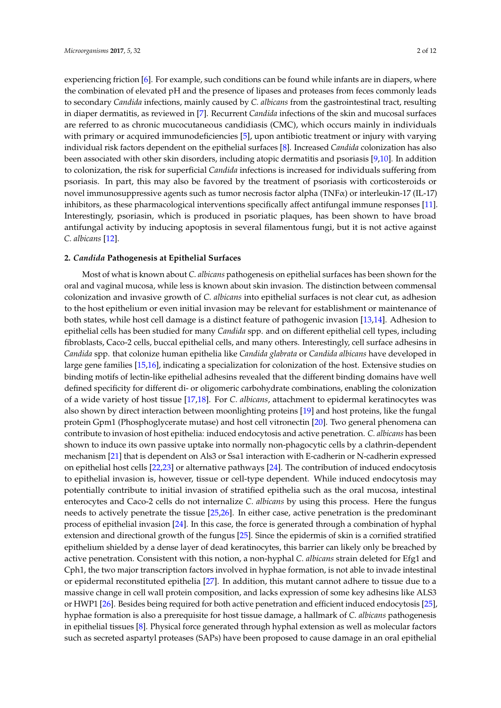experiencing friction [\[6\]](#page-6-5). For example, such conditions can be found while infants are in diapers, where the combination of elevated pH and the presence of lipases and proteases from feces commonly leads to secondary *Candida* infections, mainly caused by *C. albicans* from the gastrointestinal tract, resulting in diaper dermatitis, as reviewed in [\[7\]](#page-6-6). Recurrent *Candida* infections of the skin and mucosal surfaces are referred to as chronic mucocutaneous candidiasis (CMC), which occurs mainly in individuals with primary or acquired immunodeficiencies [\[5\]](#page-6-4), upon antibiotic treatment or injury with varying individual risk factors dependent on the epithelial surfaces [\[8\]](#page-6-7). Increased *Candida* colonization has also been associated with other skin disorders, including atopic dermatitis and psoriasis [\[9,](#page-6-8)[10\]](#page-6-9). In addition to colonization, the risk for superficial *Candida* infections is increased for individuals suffering from psoriasis. In part, this may also be favored by the treatment of psoriasis with corticosteroids or novel immunosuppressive agents such as tumor necrosis factor alpha (TNFα) or interleukin-17 (IL-17) inhibitors, as these pharmacological interventions specifically affect antifungal immune responses [\[11\]](#page-6-10). Interestingly, psoriasin, which is produced in psoriatic plaques, has been shown to have broad antifungal activity by inducing apoptosis in several filamentous fungi, but it is not active against *C. albicans* [\[12\]](#page-7-0).

#### **2.** *Candida* **Pathogenesis at Epithelial Surfaces**

Most of what is known about *C. albicans* pathogenesis on epithelial surfaces has been shown for the oral and vaginal mucosa, while less is known about skin invasion. The distinction between commensal colonization and invasive growth of *C. albicans* into epithelial surfaces is not clear cut, as adhesion to the host epithelium or even initial invasion may be relevant for establishment or maintenance of both states, while host cell damage is a distinct feature of pathogenic invasion [\[13](#page-7-1)[,14\]](#page-7-2). Adhesion to epithelial cells has been studied for many *Candida* spp. and on different epithelial cell types, including fibroblasts, Caco-2 cells, buccal epithelial cells, and many others. Interestingly, cell surface adhesins in *Candida* spp. that colonize human epithelia like *Candida glabrata* or *Candida albicans* have developed in large gene families [\[15,](#page-7-3)[16\]](#page-7-4), indicating a specialization for colonization of the host. Extensive studies on binding motifs of lectin-like epithelial adhesins revealed that the different binding domains have well defined specificity for different di- or oligomeric carbohydrate combinations, enabling the colonization of a wide variety of host tissue [\[17](#page-7-5)[,18\]](#page-7-6). For *C. albicans*, attachment to epidermal keratinocytes was also shown by direct interaction between moonlighting proteins [\[19\]](#page-7-7) and host proteins, like the fungal protein Gpm1 (Phosphoglycerate mutase) and host cell vitronectin [\[20\]](#page-7-8). Two general phenomena can contribute to invasion of host epithelia: induced endocytosis and active penetration. *C. albicans* has been shown to induce its own passive uptake into normally non-phagocytic cells by a clathrin-dependent mechanism [\[21\]](#page-7-9) that is dependent on Als3 or Ssa1 interaction with E-cadherin or N-cadherin expressed on epithelial host cells [\[22](#page-7-10)[,23\]](#page-7-11) or alternative pathways [\[24\]](#page-7-12). The contribution of induced endocytosis to epithelial invasion is, however, tissue or cell-type dependent. While induced endocytosis may potentially contribute to initial invasion of stratified epithelia such as the oral mucosa, intestinal enterocytes and Caco-2 cells do not internalize *C. albicans* by using this process. Here the fungus needs to actively penetrate the tissue [\[25,](#page-7-13)[26\]](#page-7-14). In either case, active penetration is the predominant process of epithelial invasion [\[24\]](#page-7-12). In this case, the force is generated through a combination of hyphal extension and directional growth of the fungus [\[25\]](#page-7-13). Since the epidermis of skin is a cornified stratified epithelium shielded by a dense layer of dead keratinocytes, this barrier can likely only be breached by active penetration. Consistent with this notion, a non-hyphal *C. albicans* strain deleted for Efg1 and Cph1, the two major transcription factors involved in hyphae formation, is not able to invade intestinal or epidermal reconstituted epithelia [\[27\]](#page-7-15). In addition, this mutant cannot adhere to tissue due to a massive change in cell wall protein composition, and lacks expression of some key adhesins like ALS3 or HWP1 [\[26\]](#page-7-14). Besides being required for both active penetration and efficient induced endocytosis [\[25\]](#page-7-13), hyphae formation is also a prerequisite for host tissue damage, a hallmark of *C. albicans* pathogenesis in epithelial tissues [\[8\]](#page-6-7). Physical force generated through hyphal extension as well as molecular factors such as secreted aspartyl proteases (SAPs) have been proposed to cause damage in an oral epithelial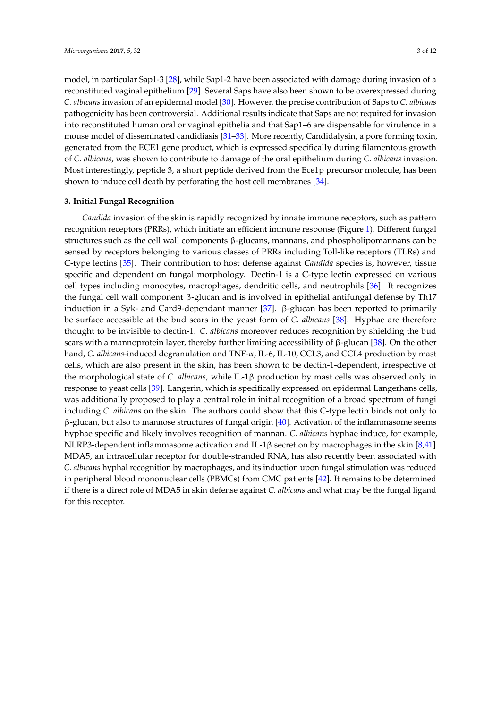model, in particular Sap1-3 [\[28\]](#page-7-16), while Sap1-2 have been associated with damage during invasion of a reconstituted vaginal epithelium [\[29\]](#page-7-17). Several Saps have also been shown to be overexpressed during *C. albicans* invasion of an epidermal model [\[30\]](#page-8-0). However, the precise contribution of Saps to *C. albicans* pathogenicity has been controversial. Additional results indicate that Saps are not required for invasion into reconstituted human oral or vaginal epithelia and that Sap1–6 are dispensable for virulence in a mouse model of disseminated candidiasis [\[31](#page-8-1)[–33\]](#page-8-2). More recently, Candidalysin, a pore forming toxin, generated from the ECE1 gene product, which is expressed specifically during filamentous growth of *C. albicans*, was shown to contribute to damage of the oral epithelium during *C. albicans* invasion. Most interestingly, peptide 3, a short peptide derived from the Ece1p precursor molecule, has been shown to induce cell death by perforating the host cell membranes [\[34\]](#page-8-3).

## **3. Initial Fungal Recognition**

*Candida* invasion of the skin is rapidly recognized by innate immune receptors, such as pattern recognition receptors (PRRs), which initiate an efficient immune response (Figure [1\)](#page-3-0). Different fungal structures such as the cell wall components β-glucans, mannans, and phospholipomannans can be sensed by receptors belonging to various classes of PRRs including Toll-like receptors (TLRs) and C-type lectins [\[35\]](#page-8-4). Their contribution to host defense against *Candida* species is, however, tissue specific and dependent on fungal morphology. Dectin-1 is a C-type lectin expressed on various cell types including monocytes, macrophages, dendritic cells, and neutrophils [\[36\]](#page-8-5). It recognizes the fungal cell wall component β-glucan and is involved in epithelial antifungal defense by Th17 induction in a Syk- and Card9-dependant manner [\[37\]](#page-8-6). β-glucan has been reported to primarily be surface accessible at the bud scars in the yeast form of *C. albicans* [\[38\]](#page-8-7). Hyphae are therefore thought to be invisible to dectin-1. *C. albicans* moreover reduces recognition by shielding the bud scars with a mannoprotein layer, thereby further limiting accessibility of  $\beta$ -glucan [\[38\]](#page-8-7). On the other hand, *C. albicans*-induced degranulation and TNF-α, IL-6, IL-10, CCL3, and CCL4 production by mast cells, which are also present in the skin, has been shown to be dectin-1-dependent, irrespective of the morphological state of *C. albicans*, while IL-1β production by mast cells was observed only in response to yeast cells [\[39\]](#page-8-8). Langerin, which is specifically expressed on epidermal Langerhans cells, was additionally proposed to play a central role in initial recognition of a broad spectrum of fungi including *C. albicans* on the skin. The authors could show that this C-type lectin binds not only to  $β$ -glucan, but also to mannose structures of fungal origin [\[40\]](#page-8-9). Activation of the inflammasome seems hyphae specific and likely involves recognition of mannan. *C. albicans* hyphae induce, for example, NLRP3-dependent inflammasome activation and IL-1β secretion by macrophages in the skin [\[8,](#page-6-7)[41\]](#page-8-10). MDA5, an intracellular receptor for double-stranded RNA, has also recently been associated with *C. albicans* hyphal recognition by macrophages, and its induction upon fungal stimulation was reduced in peripheral blood mononuclear cells (PBMCs) from CMC patients [\[42\]](#page-8-11). It remains to be determined if there is a direct role of MDA5 in skin defense against *C. albicans* and what may be the fungal ligand for this receptor.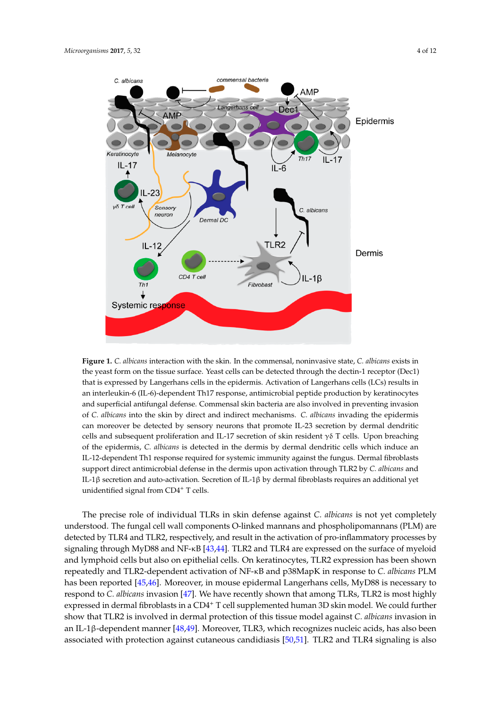<span id="page-3-0"></span>

Figure 1. C. albicans interaction with the skin. In the commensal, noninvasive state, C. albicans exists in in the yeast form on the tissue surface. Yeast cells can be detected through the dectin-1 receptor the yeast form on the tissue surface. Yeast cells can be detected through the dectin-1 receptor (Dec1) that is expressed by Langerhans cells in the epidermis. Activation of Langerhans cells (LCs) results in an interleukin-6 (IL-6)-dependent Th17 response, antimicrobial peptide production by keratinocytes and superficial antifungal defense. Commensal skin bacteria are also involved in preventing invasion preventing invasion of *C. albicans* into the skin by direct and indirect mechanisms. *C. albicans* of *C. albicans* into the skin by direct and indirect mechanisms. *C. albicans* invading the epidermis can moreover be detected by sensory neurons that promote IL-23 secretion by dermal dendritic cells and subsequent proliferation and IL-17 secretion of skin resident γδ T cells. Upon breaching of the epidermis, *C. albicans* is detected in the dermis by dermal dendritic cells which induce an IL-12-dependent Th1 response required for systemic immunity against the fungus. Dermal fibroblasts support direct antimicrobial defense in the dermis upon activation through TLR2 by *C. albicans* and IL-1β secretion and auto-activation. Secretion of IL-1β by dermal fibroblasts requires an additional yet unidentified signal from CD4<sup>+</sup> T cells.

The precise role of individual TLRs in skin defense against *C. albicans* is not yet completely The precise role of individual TLRs in skin defense against *C. albicans* is not yet completely understood. The fungal cell wall components O-linked mannans and phospholipomannans (PLM) are<br>understood. The fungal cell wall components O-linked mannans and phospholipomannans (PLM) are detected by TLR4 and TLR2, respectively, and result in the activation of pro-inflammatory processes by signaling through MyD88 and NF-κB [\[43,](#page-8-12)[44\]](#page-8-13). TLR2 and TLR4 are expressed on the surface of myeloid<br>
and TLR2 and TLR4 are expressed on the surface of myeloid and lymphoid cells but also on epithelial cells. On keratinocytes, TLR2 expression has been shown<br>And part in response to the solution of NF-R and 28MapK in response to and part in response to the SNM repeatedly and TLR2-dependent activation of NF-κB and p38MapK in response to *C. albicans* PLM<br>https://www.albit. MyD88 in response to *C. albicans* PLM has been reported [\[45](#page-8-14)[,46\]](#page-8-15). Moreover, in mouse epidermal Langerhans cells, MyD88 is necessary to have recently shown that and the among TLR2 is necessary to have a little state of the state of the state of the state of the respond to *C. albicans* invasion [\[47\]](#page-8-16). We have recently shown that among TLRs, TLR2 is most highly expressed in dermal fibroblasts in a CD4<sup>+</sup> T cell supplemented human 3D skin model. We could further *albicans* invasion in dermal protection of this tissue model against *C. albicans* invasion in an IL-1β-dependent manner [\[48](#page-9-0)[,49\]](#page-9-1). Moreover, TLR3, which recognizes nucleic acids, has also been and TLR4 and TLR4 and TLR4 and TLR4 and TLR4 and TLR4 and TLR4 and TLR4 and TLR4 and TLR4 and TLR4 and TLR4 and TLR4 and TLR associated with protection against cutaneous candidiasis [\[50](#page-9-2)[,51\]](#page-9-3). TLR2 and TLR4 signaling is also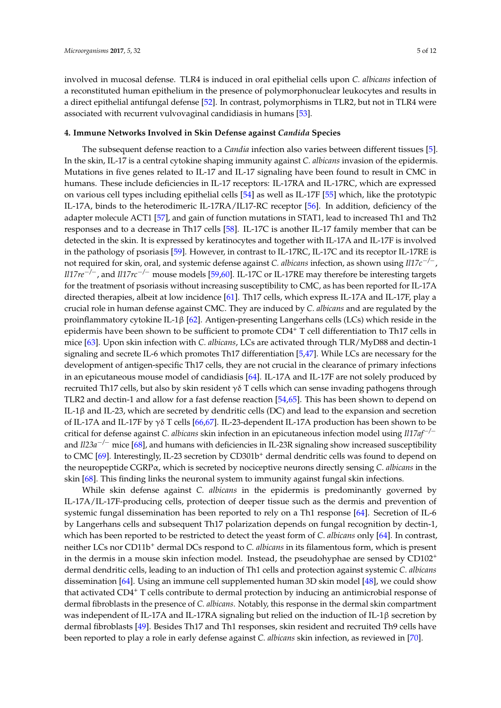involved in mucosal defense. TLR4 is induced in oral epithelial cells upon *C. albicans* infection of a reconstituted human epithelium in the presence of polymorphonuclear leukocytes and results in a direct epithelial antifungal defense [\[52\]](#page-9-4). In contrast, polymorphisms in TLR2, but not in TLR4 were associated with recurrent vulvovaginal candidiasis in humans [\[53\]](#page-9-5).

### **4. Immune Networks Involved in Skin Defense against** *Candida* **Species**

The subsequent defense reaction to a *Candia* infection also varies between different tissues [\[5\]](#page-6-4). In the skin, IL-17 is a central cytokine shaping immunity against *C. albicans* invasion of the epidermis. Mutations in five genes related to IL-17 and IL-17 signaling have been found to result in CMC in humans. These include deficiencies in IL-17 receptors: IL-17RA and IL-17RC, which are expressed on various cell types including epithelial cells [\[54\]](#page-9-6) as well as IL-17F [\[55\]](#page-9-7) which, like the prototypic IL-17A, binds to the heterodimeric IL-17RA/IL17-RC receptor [\[56\]](#page-9-8). In addition, deficiency of the adapter molecule ACT1 [\[57\]](#page-9-9), and gain of function mutations in STAT1, lead to increased Th1 and Th2 responses and to a decrease in Th17 cells [\[58\]](#page-9-10). IL-17C is another IL-17 family member that can be detected in the skin. It is expressed by keratinocytes and together with IL-17A and IL-17F is involved in the pathology of psoriasis [\[59\]](#page-9-11). However, in contrast to IL-17RC, IL-17C and its receptor IL-17RE is not required for skin, oral, and systemic defense against *C. albicans* infection, as shown using *Il17c*−*/*−, *Il17re*−*/*−, and *Il17rc*−*/*<sup>−</sup> mouse models [\[59,](#page-9-11)[60\]](#page-9-12). IL-17C or IL-17RE may therefore be interesting targets for the treatment of psoriasis without increasing susceptibility to CMC, as has been reported for IL-17A directed therapies, albeit at low incidence [\[61\]](#page-9-13). Th17 cells, which express IL-17A and IL-17F, play a crucial role in human defense against CMC. They are induced by *C. albicans* and are regulated by the proinflammatory cytokine IL-1β [\[62\]](#page-9-14). Antigen-presenting Langerhans cells (LCs) which reside in the epidermis have been shown to be sufficient to promote  $CD4^+$  T cell differentiation to Th17 cells in mice [\[63\]](#page-9-15). Upon skin infection with *C. albicans*, LCs are activated through TLR/MyD88 and dectin-1 signaling and secrete IL-6 which promotes Th17 differentiation [\[5,](#page-6-4)[47\]](#page-8-16). While LCs are necessary for the development of antigen-specific Th17 cells, they are not crucial in the clearance of primary infections in an epicutaneous mouse model of candidiasis [\[64\]](#page-9-16). IL-17A and IL-17F are not solely produced by recruited Th17 cells, but also by skin resident γδ T cells which can sense invading pathogens through TLR2 and dectin-1 and allow for a fast defense reaction [\[54](#page-9-6)[,65\]](#page-9-17). This has been shown to depend on IL-1β and IL-23, which are secreted by dendritic cells (DC) and lead to the expansion and secretion of IL-17A and IL-17F by γδ T cells [\[66](#page-10-0)[,67\]](#page-10-1). IL-23-dependent IL-17A production has been shown to be critical for defense against *C. albicans* skin infection in an epicutaneous infection model using *Il17af*−*/*<sup>−</sup> and *Il23a*−*/*<sup>−</sup> mice [\[68\]](#page-10-2), and humans with deficiencies in IL-23R signaling show increased susceptibility to CMC [\[69\]](#page-10-3). Interestingly, IL-23 secretion by CD301b<sup>+</sup> dermal dendritic cells was found to depend on the neuropeptide CGRPα, which is secreted by nociceptive neurons directly sensing *C. albicans* in the skin [\[68\]](#page-10-2). This finding links the neuronal system to immunity against fungal skin infections.

While skin defense against *C. albicans* in the epidermis is predominantly governed by IL-17A/IL-17F-producing cells, protection of deeper tissue such as the dermis and prevention of systemic fungal dissemination has been reported to rely on a Th1 response [\[64\]](#page-9-16). Secretion of IL-6 by Langerhans cells and subsequent Th17 polarization depends on fungal recognition by dectin-1, which has been reported to be restricted to detect the yeast form of *C. albicans* only [\[64\]](#page-9-16). In contrast, neither LCs nor CD11b<sup>+</sup> dermal DCs respond to *C. albicans* in its filamentous form, which is present in the dermis in a mouse skin infection model. Instead, the pseudohyphae are sensed by  $CD102<sup>+</sup>$ dermal dendritic cells, leading to an induction of Th1 cells and protection against systemic *C. albicans* dissemination [\[64\]](#page-9-16). Using an immune cell supplemented human 3D skin model [\[48\]](#page-9-0), we could show that activated CD4<sup>+</sup> T cells contribute to dermal protection by inducing an antimicrobial response of dermal fibroblasts in the presence of *C. albicans*. Notably, this response in the dermal skin compartment was independent of IL-17A and IL-17RA signaling but relied on the induction of IL-1β secretion by dermal fibroblasts [\[49\]](#page-9-1). Besides Th17 and Th1 responses, skin resident and recruited Th9 cells have been reported to play a role in early defense against *C. albicans* skin infection, as reviewed in [\[70\]](#page-10-4).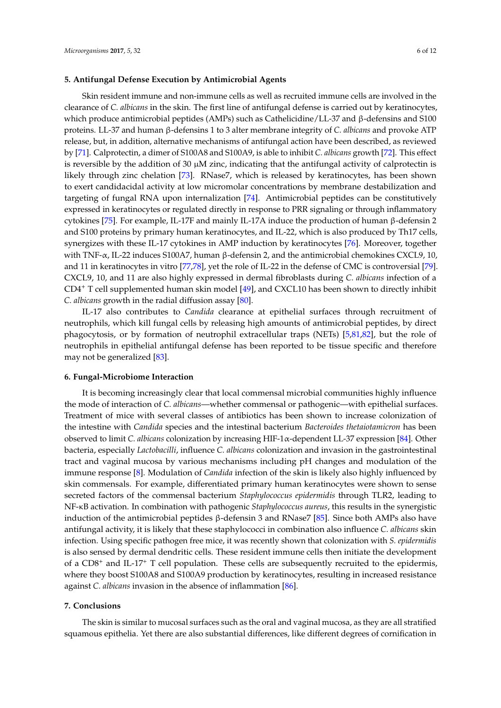## **5. Antifungal Defense Execution by Antimicrobial Agents**

Skin resident immune and non-immune cells as well as recruited immune cells are involved in the clearance of *C. albicans* in the skin. The first line of antifungal defense is carried out by keratinocytes, which produce antimicrobial peptides (AMPs) such as Cathelicidine/LL-37 and β-defensins and S100 proteins. LL-37 and human β-defensins 1 to 3 alter membrane integrity of *C. albicans* and provoke ATP release, but, in addition, alternative mechanisms of antifungal action have been described, as reviewed by [\[71\]](#page-10-5). Calprotectin, a dimer of S100A8 and S100A9, is able to inhibit *C. albicans* growth [\[72\]](#page-10-6). This effect is reversible by the addition of 30  $\mu$ M zinc, indicating that the antifungal activity of calprotectin is likely through zinc chelation [\[73\]](#page-10-7). RNase7, which is released by keratinocytes, has been shown to exert candidacidal activity at low micromolar concentrations by membrane destabilization and targeting of fungal RNA upon internalization [\[74\]](#page-10-8). Antimicrobial peptides can be constitutively expressed in keratinocytes or regulated directly in response to PRR signaling or through inflammatory cytokines [\[75\]](#page-10-9). For example, IL-17F and mainly IL-17A induce the production of human β-defensin 2 and S100 proteins by primary human keratinocytes, and IL-22, which is also produced by Th17 cells, synergizes with these IL-17 cytokines in AMP induction by keratinocytes [\[76\]](#page-10-10). Moreover, together with TNF-α, IL-22 induces S100A7, human β-defensin 2, and the antimicrobial chemokines CXCL9, 10, and 11 in keratinocytes in vitro [\[77](#page-10-11)[,78\]](#page-10-12), yet the role of IL-22 in the defense of CMC is controversial [\[79\]](#page-10-13). CXCL9, 10, and 11 are also highly expressed in dermal fibroblasts during *C. albicans* infection of a CD4<sup>+</sup> T cell supplemented human skin model [\[49\]](#page-9-1), and CXCL10 has been shown to directly inhibit *C. albicans* growth in the radial diffusion assay [\[80\]](#page-10-14).

IL-17 also contributes to *Candida* clearance at epithelial surfaces through recruitment of neutrophils, which kill fungal cells by releasing high amounts of antimicrobial peptides, by direct phagocytosis, or by formation of neutrophil extracellular traps (NETs) [\[5,](#page-6-4)[81,](#page-10-15)[82\]](#page-10-16), but the role of neutrophils in epithelial antifungal defense has been reported to be tissue specific and therefore may not be generalized [\[83\]](#page-10-17).

#### **6. Fungal-Microbiome Interaction**

It is becoming increasingly clear that local commensal microbial communities highly influence the mode of interaction of *C. albicans*—whether commensal or pathogenic—with epithelial surfaces. Treatment of mice with several classes of antibiotics has been shown to increase colonization of the intestine with *Candida* species and the intestinal bacterium *Bacteroides thetaiotamicron* has been observed to limit *C. albicans* colonization by increasing HIF-1α-dependent LL-37 expression [\[84\]](#page-10-18). Other bacteria, especially *Lactobacilli*, influence *C. albicans* colonization and invasion in the gastrointestinal tract and vaginal mucosa by various mechanisms including pH changes and modulation of the immune response [\[8\]](#page-6-7). Modulation of *Candida* infection of the skin is likely also highly influenced by skin commensals. For example, differentiated primary human keratinocytes were shown to sense secreted factors of the commensal bacterium *Staphylococcus epidermidis* through TLR2, leading to NF-κB activation. In combination with pathogenic *Staphylococcus aureus*, this results in the synergistic induction of the antimicrobial peptides  $β$ -defensin 3 and RNase7 [\[85\]](#page-11-0). Since both AMPs also have antifungal activity, it is likely that these staphylococci in combination also influence *C. albicans* skin infection. Using specific pathogen free mice, it was recently shown that colonization with *S. epidermidis* is also sensed by dermal dendritic cells. These resident immune cells then initiate the development of a  $CD8<sup>+</sup>$  and IL-17<sup>+</sup> T cell population. These cells are subsequently recruited to the epidermis, where they boost S100A8 and S100A9 production by keratinocytes, resulting in increased resistance against *C. albicans* invasion in the absence of inflammation [\[86\]](#page-11-1).

#### **7. Conclusions**

The skin is similar to mucosal surfaces such as the oral and vaginal mucosa, as they are all stratified squamous epithelia. Yet there are also substantial differences, like different degrees of cornification in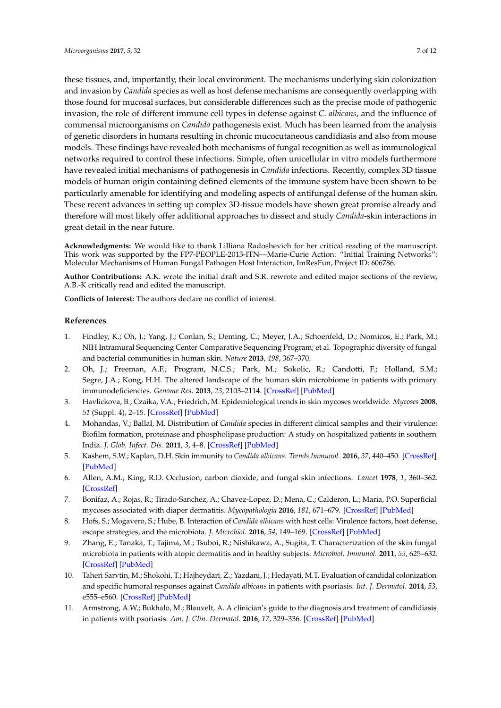these tissues, and, importantly, their local environment. The mechanisms underlying skin colonization and invasion by *Candida* species as well as host defense mechanisms are consequently overlapping with those found for mucosal surfaces, but considerable differences such as the precise mode of pathogenic invasion, the role of different immune cell types in defense against *C. albicans*, and the influence of commensal microorganisms on *Candida* pathogenesis exist. Much has been learned from the analysis of genetic disorders in humans resulting in chronic mucocutaneous candidiasis and also from mouse models. These findings have revealed both mechanisms of fungal recognition as well as immunological networks required to control these infections. Simple, often unicellular in vitro models furthermore have revealed initial mechanisms of pathogenesis in *Candida* infections. Recently, complex 3D tissue models of human origin containing defined elements of the immune system have been shown to be particularly amenable for identifying and modeling aspects of antifungal defense of the human skin. These recent advances in setting up complex 3D-tissue models have shown great promise already and therefore will most likely offer additional approaches to dissect and study *Candida*-skin interactions in great detail in the near future.

**Acknowledgments:** We would like to thank Lilliana Radoshevich for her critical reading of the manuscript. This work was supported by the FP7-PEOPLE-2013-ITN—Marie-Curie Action: "Initial Training Networks": Molecular Mechanisms of Human Fungal Pathogen Host Interaction, ImResFun, Project ID: 606786.

**Author Contributions:** A.K. wrote the initial draft and S.R. rewrote and edited major sections of the review, A.B.-K critically read and edited the manuscript.

**Conflicts of Interest:** The authors declare no conflict of interest.

#### **References**

- <span id="page-6-0"></span>1. Findley, K.; Oh, J.; Yang, J.; Conlan, S.; Deming, C.; Meyer, J.A.; Schoenfeld, D.; Nomicos, E.; Park, M.; NIH Intramural Sequencing Center Comparative Sequencing Program; et al. Topographic diversity of fungal and bacterial communities in human skin. *Nature* **2013**, *498*, 367–370.
- <span id="page-6-1"></span>2. Oh, J.; Freeman, A.F.; Program, N.C.S.; Park, M.; Sokolic, R.; Candotti, F.; Holland, S.M.; Segre, J.A.; Kong, H.H. The altered landscape of the human skin microbiome in patients with primary immunodeficiencies. *Genome Res.* **2013**, *23*, 2103–2114. [\[CrossRef\]](http://dx.doi.org/10.1101/gr.159467.113) [\[PubMed\]](http://www.ncbi.nlm.nih.gov/pubmed/24170601)
- <span id="page-6-2"></span>3. Havlickova, B.; Czaika, V.A.; Friedrich, M. Epidemiological trends in skin mycoses worldwide. *Mycoses* **2008**, *51* (Suppl. 4), 2–15. [\[CrossRef\]](http://dx.doi.org/10.1111/j.1439-0507.2008.01606.x) [\[PubMed\]](http://www.ncbi.nlm.nih.gov/pubmed/18783559)
- <span id="page-6-3"></span>4. Mohandas, V.; Ballal, M. Distribution of *Candida* species in different clinical samples and their virulence: Biofilm formation, proteinase and phospholipase production: A study on hospitalized patients in southern India. *J. Glob. Infect. Dis.* **2011**, *3*, 4–8. [\[CrossRef\]](http://dx.doi.org/10.4103/0974-777X.77288) [\[PubMed\]](http://www.ncbi.nlm.nih.gov/pubmed/21572601)
- <span id="page-6-4"></span>5. Kashem, S.W.; Kaplan, D.H. Skin immunity to *Candida albicans*. *Trends Immunol.* **2016**, *37*, 440–450. [\[CrossRef\]](http://dx.doi.org/10.1016/j.it.2016.04.007) [\[PubMed\]](http://www.ncbi.nlm.nih.gov/pubmed/27178391)
- <span id="page-6-5"></span>6. Allen, A.M.; King, R.D. Occlusion, carbon dioxide, and fungal skin infections. *Lancet* **1978**, *1*, 360–362. [\[CrossRef\]](http://dx.doi.org/10.1016/S0140-6736(78)91084-X)
- <span id="page-6-6"></span>7. Bonifaz, A.; Rojas, R.; Tirado-Sanchez, A.; Chavez-Lopez, D.; Mena, C.; Calderon, L.; Maria, P.O. Superficial mycoses associated with diaper dermatitis. *Mycopathologia* **2016**, *181*, 671–679. [\[CrossRef\]](http://dx.doi.org/10.1007/s11046-016-0020-9) [\[PubMed\]](http://www.ncbi.nlm.nih.gov/pubmed/27193417)
- <span id="page-6-7"></span>8. Hofs, S.; Mogavero, S.; Hube, B. Interaction of *Candida albicans* with host cells: Virulence factors, host defense, escape strategies, and the microbiota. *J. Microbiol.* **2016**, *54*, 149–169. [\[CrossRef\]](http://dx.doi.org/10.1007/s12275-016-5514-0) [\[PubMed\]](http://www.ncbi.nlm.nih.gov/pubmed/26920876)
- <span id="page-6-8"></span>9. Zhang, E.; Tanaka, T.; Tajima, M.; Tsuboi, R.; Nishikawa, A.; Sugita, T. Characterization of the skin fungal microbiota in patients with atopic dermatitis and in healthy subjects. *Microbiol. Immunol.* **2011**, *55*, 625–632. [\[CrossRef\]](http://dx.doi.org/10.1111/j.1348-0421.2011.00364.x) [\[PubMed\]](http://www.ncbi.nlm.nih.gov/pubmed/21699559)
- <span id="page-6-9"></span>10. Taheri Sarvtin, M.; Shokohi, T.; Hajheydari, Z.; Yazdani, J.; Hedayati, M.T. Evaluation of candidal colonization and specific humoral responses against *Candida albicans* in patients with psoriasis. *Int. J. Dermatol.* **2014**, *53*, e555–e560. [\[CrossRef\]](http://dx.doi.org/10.1111/ijd.12562) [\[PubMed\]](http://www.ncbi.nlm.nih.gov/pubmed/25427068)
- <span id="page-6-10"></span>11. Armstrong, A.W.; Bukhalo, M.; Blauvelt, A. A clinician's guide to the diagnosis and treatment of candidiasis in patients with psoriasis. *Am. J. Clin. Dermatol.* **2016**, *17*, 329–336. [\[CrossRef\]](http://dx.doi.org/10.1007/s40257-016-0206-4) [\[PubMed\]](http://www.ncbi.nlm.nih.gov/pubmed/27435194)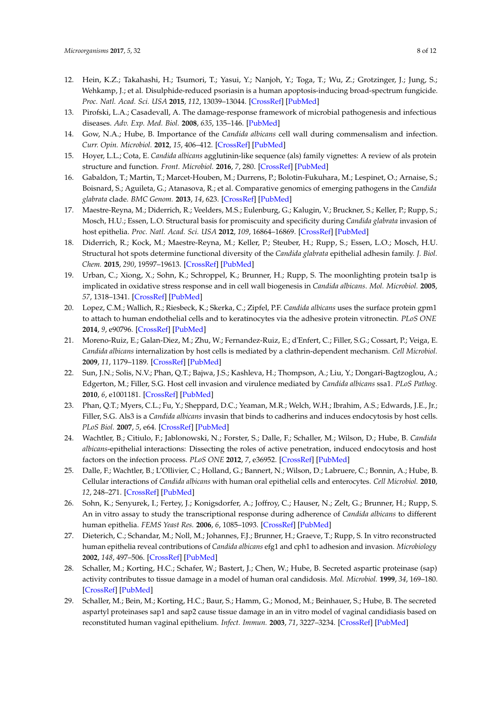- <span id="page-7-0"></span>12. Hein, K.Z.; Takahashi, H.; Tsumori, T.; Yasui, Y.; Nanjoh, Y.; Toga, T.; Wu, Z.; Grotzinger, J.; Jung, S.; Wehkamp, J.; et al. Disulphide-reduced psoriasin is a human apoptosis-inducing broad-spectrum fungicide. *Proc. Natl. Acad. Sci. USA* **2015**, *112*, 13039–13044. [\[CrossRef\]](http://dx.doi.org/10.1073/pnas.1511197112) [\[PubMed\]](http://www.ncbi.nlm.nih.gov/pubmed/26438863)
- <span id="page-7-1"></span>13. Pirofski, L.A.; Casadevall, A. The damage-response framework of microbial pathogenesis and infectious diseases. *Adv. Exp. Med. Biol.* **2008**, *635*, 135–146. [\[PubMed\]](http://www.ncbi.nlm.nih.gov/pubmed/18841709)
- <span id="page-7-2"></span>14. Gow, N.A.; Hube, B. Importance of the *Candida albicans* cell wall during commensalism and infection. *Curr. Opin. Microbiol.* **2012**, *15*, 406–412. [\[CrossRef\]](http://dx.doi.org/10.1016/j.mib.2012.04.005) [\[PubMed\]](http://www.ncbi.nlm.nih.gov/pubmed/22609181)
- <span id="page-7-3"></span>15. Hoyer, L.L.; Cota, E. *Candida albicans* agglutinin-like sequence (als) family vignettes: A review of als protein structure and function. *Front. Microbiol.* **2016**, *7*, 280. [\[CrossRef\]](http://dx.doi.org/10.3389/fmicb.2016.00280) [\[PubMed\]](http://www.ncbi.nlm.nih.gov/pubmed/27014205)
- <span id="page-7-4"></span>16. Gabaldon, T.; Martin, T.; Marcet-Houben, M.; Durrens, P.; Bolotin-Fukuhara, M.; Lespinet, O.; Arnaise, S.; Boisnard, S.; Aguileta, G.; Atanasova, R.; et al. Comparative genomics of emerging pathogens in the *Candida glabrata* clade. *BMC Genom.* **2013**, *14*, 623. [\[CrossRef\]](http://dx.doi.org/10.1186/1471-2164-14-623) [\[PubMed\]](http://www.ncbi.nlm.nih.gov/pubmed/24034898)
- <span id="page-7-5"></span>17. Maestre-Reyna, M.; Diderrich, R.; Veelders, M.S.; Eulenburg, G.; Kalugin, V.; Bruckner, S.; Keller, P.; Rupp, S.; Mosch, H.U.; Essen, L.O. Structural basis for promiscuity and specificity during *Candida glabrata* invasion of host epithelia. *Proc. Natl. Acad. Sci. USA* **2012**, *109*, 16864–16869. [\[CrossRef\]](http://dx.doi.org/10.1073/pnas.1207653109) [\[PubMed\]](http://www.ncbi.nlm.nih.gov/pubmed/23035251)
- <span id="page-7-6"></span>18. Diderrich, R.; Kock, M.; Maestre-Reyna, M.; Keller, P.; Steuber, H.; Rupp, S.; Essen, L.O.; Mosch, H.U. Structural hot spots determine functional diversity of the *Candida glabrata* epithelial adhesin family. *J. Biol. Chem.* **2015**, *290*, 19597–19613. [\[CrossRef\]](http://dx.doi.org/10.1074/jbc.M115.655654) [\[PubMed\]](http://www.ncbi.nlm.nih.gov/pubmed/26105055)
- <span id="page-7-7"></span>19. Urban, C.; Xiong, X.; Sohn, K.; Schroppel, K.; Brunner, H.; Rupp, S. The moonlighting protein tsa1p is implicated in oxidative stress response and in cell wall biogenesis in *Candida albicans*. *Mol. Microbiol.* **2005**, *57*, 1318–1341. [\[CrossRef\]](http://dx.doi.org/10.1111/j.1365-2958.2005.04771.x) [\[PubMed\]](http://www.ncbi.nlm.nih.gov/pubmed/16102003)
- <span id="page-7-8"></span>20. Lopez, C.M.; Wallich, R.; Riesbeck, K.; Skerka, C.; Zipfel, P.F. *Candida albicans* uses the surface protein gpm1 to attach to human endothelial cells and to keratinocytes via the adhesive protein vitronectin. *PLoS ONE* **2014**, *9*, e90796. [\[CrossRef\]](http://dx.doi.org/10.1371/journal.pone.0090796) [\[PubMed\]](http://www.ncbi.nlm.nih.gov/pubmed/24625558)
- <span id="page-7-9"></span>21. Moreno-Ruiz, E.; Galan-Diez, M.; Zhu, W.; Fernandez-Ruiz, E.; d'Enfert, C.; Filler, S.G.; Cossart, P.; Veiga, E. *Candida albicans* internalization by host cells is mediated by a clathrin-dependent mechanism. *Cell Microbiol.* **2009**, *11*, 1179–1189. [\[CrossRef\]](http://dx.doi.org/10.1111/j.1462-5822.2009.01319.x) [\[PubMed\]](http://www.ncbi.nlm.nih.gov/pubmed/19416270)
- <span id="page-7-10"></span>22. Sun, J.N.; Solis, N.V.; Phan, Q.T.; Bajwa, J.S.; Kashleva, H.; Thompson, A.; Liu, Y.; Dongari-Bagtzoglou, A.; Edgerton, M.; Filler, S.G. Host cell invasion and virulence mediated by *Candida albicans* ssa1. *PLoS Pathog.* **2010**, *6*, e1001181. [\[CrossRef\]](http://dx.doi.org/10.1371/journal.ppat.1001181) [\[PubMed\]](http://www.ncbi.nlm.nih.gov/pubmed/21085601)
- <span id="page-7-11"></span>23. Phan, Q.T.; Myers, C.L.; Fu, Y.; Sheppard, D.C.; Yeaman, M.R.; Welch, W.H.; Ibrahim, A.S.; Edwards, J.E., Jr.; Filler, S.G. Als3 is a *Candida albicans* invasin that binds to cadherins and induces endocytosis by host cells. *PLoS Biol.* **2007**, *5*, e64. [\[CrossRef\]](http://dx.doi.org/10.1371/journal.pbio.0050064) [\[PubMed\]](http://www.ncbi.nlm.nih.gov/pubmed/17311474)
- <span id="page-7-12"></span>24. Wachtler, B.; Citiulo, F.; Jablonowski, N.; Forster, S.; Dalle, F.; Schaller, M.; Wilson, D.; Hube, B. *Candida albicans*-epithelial interactions: Dissecting the roles of active penetration, induced endocytosis and host factors on the infection process. *PLoS ONE* **2012**, *7*, e36952. [\[CrossRef\]](http://dx.doi.org/10.1371/journal.pone.0036952) [\[PubMed\]](http://www.ncbi.nlm.nih.gov/pubmed/22606314)
- <span id="page-7-13"></span>25. Dalle, F.; Wachtler, B.; L'Ollivier, C.; Holland, G.; Bannert, N.; Wilson, D.; Labruere, C.; Bonnin, A.; Hube, B. Cellular interactions of *Candida albicans* with human oral epithelial cells and enterocytes. *Cell Microbiol.* **2010**, *12*, 248–271. [\[CrossRef\]](http://dx.doi.org/10.1111/j.1462-5822.2009.01394.x) [\[PubMed\]](http://www.ncbi.nlm.nih.gov/pubmed/19863559)
- <span id="page-7-14"></span>26. Sohn, K.; Senyurek, I.; Fertey, J.; Konigsdorfer, A.; Joffroy, C.; Hauser, N.; Zelt, G.; Brunner, H.; Rupp, S. An in vitro assay to study the transcriptional response during adherence of *Candida albicans* to different human epithelia. *FEMS Yeast Res.* **2006**, *6*, 1085–1093. [\[CrossRef\]](http://dx.doi.org/10.1111/j.1567-1364.2006.00130.x) [\[PubMed\]](http://www.ncbi.nlm.nih.gov/pubmed/17042758)
- <span id="page-7-15"></span>27. Dieterich, C.; Schandar, M.; Noll, M.; Johannes, F.J.; Brunner, H.; Graeve, T.; Rupp, S. In vitro reconstructed human epithelia reveal contributions of *Candida albicans* efg1 and cph1 to adhesion and invasion. *Microbiology* **2002**, *148*, 497–506. [\[CrossRef\]](http://dx.doi.org/10.1099/00221287-148-2-497) [\[PubMed\]](http://www.ncbi.nlm.nih.gov/pubmed/11832513)
- <span id="page-7-16"></span>28. Schaller, M.; Korting, H.C.; Schafer, W.; Bastert, J.; Chen, W.; Hube, B. Secreted aspartic proteinase (sap) activity contributes to tissue damage in a model of human oral candidosis. *Mol. Microbiol.* **1999**, *34*, 169–180. [\[CrossRef\]](http://dx.doi.org/10.1046/j.1365-2958.1999.01590.x) [\[PubMed\]](http://www.ncbi.nlm.nih.gov/pubmed/10540295)
- <span id="page-7-17"></span>29. Schaller, M.; Bein, M.; Korting, H.C.; Baur, S.; Hamm, G.; Monod, M.; Beinhauer, S.; Hube, B. The secreted aspartyl proteinases sap1 and sap2 cause tissue damage in an in vitro model of vaginal candidiasis based on reconstituted human vaginal epithelium. *Infect. Immun.* **2003**, *71*, 3227–3234. [\[CrossRef\]](http://dx.doi.org/10.1128/IAI.71.6.3227-3234.2003) [\[PubMed\]](http://www.ncbi.nlm.nih.gov/pubmed/12761103)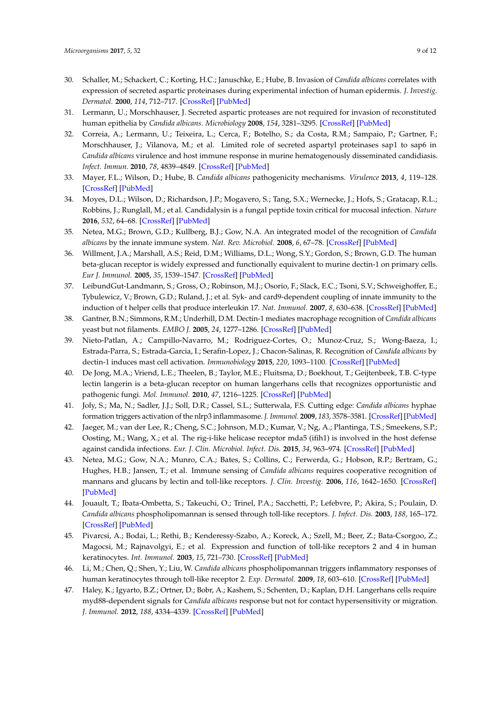- <span id="page-8-0"></span>30. Schaller, M.; Schackert, C.; Korting, H.C.; Januschke, E.; Hube, B. Invasion of *Candida albicans* correlates with expression of secreted aspartic proteinases during experimental infection of human epidermis. *J. Investig. Dermatol.* **2000**, *114*, 712–717. [\[CrossRef\]](http://dx.doi.org/10.1046/j.1523-1747.2000.00935.x) [\[PubMed\]](http://www.ncbi.nlm.nih.gov/pubmed/10733678)
- <span id="page-8-1"></span>31. Lermann, U.; Morschhauser, J. Secreted aspartic proteases are not required for invasion of reconstituted human epithelia by *Candida albicans*. *Microbiology* **2008**, *154*, 3281–3295. [\[CrossRef\]](http://dx.doi.org/10.1099/mic.0.2008/022525-0) [\[PubMed\]](http://www.ncbi.nlm.nih.gov/pubmed/18957582)
- 32. Correia, A.; Lermann, U.; Teixeira, L.; Cerca, F.; Botelho, S.; da Costa, R.M.; Sampaio, P.; Gartner, F.; Morschhauser, J.; Vilanova, M.; et al. Limited role of secreted aspartyl proteinases sap1 to sap6 in *Candida albicans* virulence and host immune response in murine hematogenously disseminated candidiasis. *Infect. Immun.* **2010**, *78*, 4839–4849. [\[CrossRef\]](http://dx.doi.org/10.1128/IAI.00248-10) [\[PubMed\]](http://www.ncbi.nlm.nih.gov/pubmed/20679440)
- <span id="page-8-2"></span>33. Mayer, F.L.; Wilson, D.; Hube, B. *Candida albicans* pathogenicity mechanisms. *Virulence* **2013**, *4*, 119–128. [\[CrossRef\]](http://dx.doi.org/10.4161/viru.22913) [\[PubMed\]](http://www.ncbi.nlm.nih.gov/pubmed/23302789)
- <span id="page-8-3"></span>34. Moyes, D.L.; Wilson, D.; Richardson, J.P.; Mogavero, S.; Tang, S.X.; Wernecke, J.; Hofs, S.; Gratacap, R.L.; Robbins, J.; Runglall, M.; et al. Candidalysin is a fungal peptide toxin critical for mucosal infection. *Nature* **2016**, *532*, 64–68. [\[CrossRef\]](http://dx.doi.org/10.1038/nature17625) [\[PubMed\]](http://www.ncbi.nlm.nih.gov/pubmed/27027296)
- <span id="page-8-4"></span>35. Netea, M.G.; Brown, G.D.; Kullberg, B.J.; Gow, N.A. An integrated model of the recognition of *Candida albicans* by the innate immune system. *Nat. Rev. Microbiol.* **2008**, *6*, 67–78. [\[CrossRef\]](http://dx.doi.org/10.1038/nrmicro1815) [\[PubMed\]](http://www.ncbi.nlm.nih.gov/pubmed/18079743)
- <span id="page-8-5"></span>36. Willment, J.A.; Marshall, A.S.; Reid, D.M.; Williams, D.L.; Wong, S.Y.; Gordon, S.; Brown, G.D. The human beta-glucan receptor is widely expressed and functionally equivalent to murine dectin-1 on primary cells. *Eur J. Immunol.* **2005**, *35*, 1539–1547. [\[CrossRef\]](http://dx.doi.org/10.1002/eji.200425725) [\[PubMed\]](http://www.ncbi.nlm.nih.gov/pubmed/15816015)
- <span id="page-8-6"></span>37. LeibundGut-Landmann, S.; Gross, O.; Robinson, M.J.; Osorio, F.; Slack, E.C.; Tsoni, S.V.; Schweighoffer, E.; Tybulewicz, V.; Brown, G.D.; Ruland, J.; et al. Syk- and card9-dependent coupling of innate immunity to the induction of t helper cells that produce interleukin 17. *Nat. Immunol.* **2007**, *8*, 630–638. [\[CrossRef\]](http://dx.doi.org/10.1038/ni1460) [\[PubMed\]](http://www.ncbi.nlm.nih.gov/pubmed/17450144)
- <span id="page-8-7"></span>38. Gantner, B.N.; Simmons, R.M.; Underhill, D.M. Dectin-1 mediates macrophage recognition of *Candida albicans* yeast but not filaments. *EMBO J.* **2005**, *24*, 1277–1286. [\[CrossRef\]](http://dx.doi.org/10.1038/sj.emboj.7600594) [\[PubMed\]](http://www.ncbi.nlm.nih.gov/pubmed/15729357)
- <span id="page-8-8"></span>39. Nieto-Patlan, A.; Campillo-Navarro, M.; Rodriguez-Cortes, O.; Munoz-Cruz, S.; Wong-Baeza, I.; Estrada-Parra, S.; Estrada-Garcia, I.; Serafin-Lopez, J.; Chacon-Salinas, R. Recognition of *Candida albicans* by dectin-1 induces mast cell activation. *Immunobiology* **2015**, *220*, 1093–1100. [\[CrossRef\]](http://dx.doi.org/10.1016/j.imbio.2015.05.005) [\[PubMed\]](http://www.ncbi.nlm.nih.gov/pubmed/26001731)
- <span id="page-8-9"></span>40. De Jong, M.A.; Vriend, L.E.; Theelen, B.; Taylor, M.E.; Fluitsma, D.; Boekhout, T.; Geijtenbeek, T.B. C-type lectin langerin is a beta-glucan receptor on human langerhans cells that recognizes opportunistic and pathogenic fungi. *Mol. Immunol.* **2010**, *47*, 1216–1225. [\[CrossRef\]](http://dx.doi.org/10.1016/j.molimm.2009.12.016) [\[PubMed\]](http://www.ncbi.nlm.nih.gov/pubmed/20097424)
- <span id="page-8-10"></span>41. Joly, S.; Ma, N.; Sadler, J.J.; Soll, D.R.; Cassel, S.L.; Sutterwala, F.S. Cutting edge: *Candida albicans* hyphae formation triggers activation of the nlrp3 inflammasome. *J. Immunol.* **2009**, *183*, 3578–3581. [\[CrossRef\]](http://dx.doi.org/10.4049/jimmunol.0901323) [\[PubMed\]](http://www.ncbi.nlm.nih.gov/pubmed/19684085)
- <span id="page-8-11"></span>42. Jaeger, M.; van der Lee, R.; Cheng, S.C.; Johnson, M.D.; Kumar, V.; Ng, A.; Plantinga, T.S.; Smeekens, S.P.; Oosting, M.; Wang, X.; et al. The rig-i-like helicase receptor mda5 (ifih1) is involved in the host defense against candida infections. *Eur. J. Clin. Microbiol. Infect. Dis.* **2015**, *34*, 963–974. [\[CrossRef\]](http://dx.doi.org/10.1007/s10096-014-2309-2) [\[PubMed\]](http://www.ncbi.nlm.nih.gov/pubmed/25579795)
- <span id="page-8-12"></span>43. Netea, M.G.; Gow, N.A.; Munro, C.A.; Bates, S.; Collins, C.; Ferwerda, G.; Hobson, R.P.; Bertram, G.; Hughes, H.B.; Jansen, T.; et al. Immune sensing of *Candida albicans* requires cooperative recognition of mannans and glucans by lectin and toll-like receptors. *J. Clin. Investig.* **2006**, *116*, 1642–1650. [\[CrossRef\]](http://dx.doi.org/10.1172/JCI27114) [\[PubMed\]](http://www.ncbi.nlm.nih.gov/pubmed/16710478)
- <span id="page-8-13"></span>44. Jouault, T.; Ibata-Ombetta, S.; Takeuchi, O.; Trinel, P.A.; Sacchetti, P.; Lefebvre, P.; Akira, S.; Poulain, D. *Candida albicans* phospholipomannan is sensed through toll-like receptors. *J. Infect. Dis.* **2003**, *188*, 165–172. [\[CrossRef\]](http://dx.doi.org/10.1086/375784) [\[PubMed\]](http://www.ncbi.nlm.nih.gov/pubmed/12825186)
- <span id="page-8-14"></span>45. Pivarcsi, A.; Bodai, L.; Rethi, B.; Kenderessy-Szabo, A.; Koreck, A.; Szell, M.; Beer, Z.; Bata-Csorgoo, Z.; Magocsi, M.; Rajnavolgyi, E.; et al. Expression and function of toll-like receptors 2 and 4 in human keratinocytes. *Int. Immunol.* **2003**, *15*, 721–730. [\[CrossRef\]](http://dx.doi.org/10.1093/intimm/dxg068) [\[PubMed\]](http://www.ncbi.nlm.nih.gov/pubmed/12750356)
- <span id="page-8-15"></span>46. Li, M.; Chen, Q.; Shen, Y.; Liu, W. *Candida albicans* phospholipomannan triggers inflammatory responses of human keratinocytes through toll-like receptor 2. *Exp. Dermatol.* **2009**, *18*, 603–610. [\[CrossRef\]](http://dx.doi.org/10.1111/j.1600-0625.2008.00832.x) [\[PubMed\]](http://www.ncbi.nlm.nih.gov/pubmed/19196344)
- <span id="page-8-16"></span>47. Haley, K.; Igyarto, B.Z.; Ortner, D.; Bobr, A.; Kashem, S.; Schenten, D.; Kaplan, D.H. Langerhans cells require myd88-dependent signals for *Candida albicans* response but not for contact hypersensitivity or migration. *J. Immunol.* **2012**, *188*, 4334–4339. [\[CrossRef\]](http://dx.doi.org/10.4049/jimmunol.1102759) [\[PubMed\]](http://www.ncbi.nlm.nih.gov/pubmed/22442445)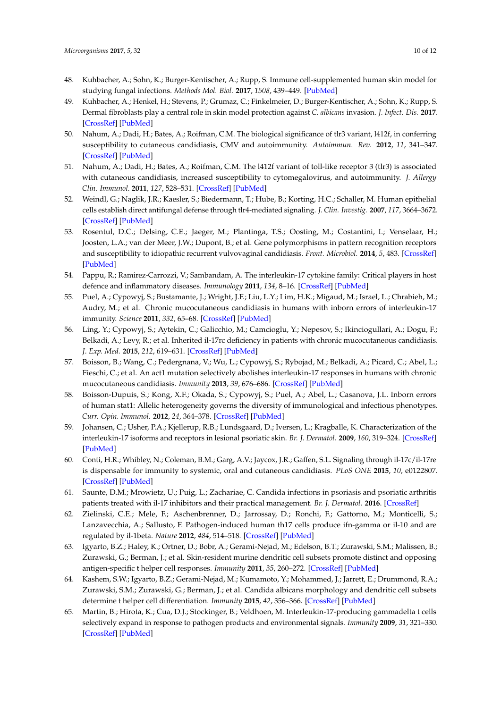- <span id="page-9-0"></span>48. Kuhbacher, A.; Sohn, K.; Burger-Kentischer, A.; Rupp, S. Immune cell-supplemented human skin model for studying fungal infections. *Methods Mol. Biol.* **2017**, *1508*, 439–449. [\[PubMed\]](http://www.ncbi.nlm.nih.gov/pubmed/27837520)
- <span id="page-9-1"></span>49. Kuhbacher, A.; Henkel, H.; Stevens, P.; Grumaz, C.; Finkelmeier, D.; Burger-Kentischer, A.; Sohn, K.; Rupp, S. Dermal fibroblasts play a central role in skin model protection against *C. albicans* invasion. *J. Infect. Dis.* **2017**. [\[CrossRef\]](http://dx.doi.org/10.1093/infdis/jix153) [\[PubMed\]](http://www.ncbi.nlm.nih.gov/pubmed/28368492)
- <span id="page-9-2"></span>50. Nahum, A.; Dadi, H.; Bates, A.; Roifman, C.M. The biological significance of tlr3 variant, l412f, in conferring susceptibility to cutaneous candidiasis, CMV and autoimmunity. *Autoimmun. Rev.* **2012**, *11*, 341–347. [\[CrossRef\]](http://dx.doi.org/10.1016/j.autrev.2011.10.007) [\[PubMed\]](http://www.ncbi.nlm.nih.gov/pubmed/22024499)
- <span id="page-9-3"></span>51. Nahum, A.; Dadi, H.; Bates, A.; Roifman, C.M. The l412f variant of toll-like receptor 3 (tlr3) is associated with cutaneous candidiasis, increased susceptibility to cytomegalovirus, and autoimmunity. *J. Allergy Clin. Immunol.* **2011**, *127*, 528–531. [\[CrossRef\]](http://dx.doi.org/10.1016/j.jaci.2010.09.031) [\[PubMed\]](http://www.ncbi.nlm.nih.gov/pubmed/21093032)
- <span id="page-9-4"></span>52. Weindl, G.; Naglik, J.R.; Kaesler, S.; Biedermann, T.; Hube, B.; Korting, H.C.; Schaller, M. Human epithelial cells establish direct antifungal defense through tlr4-mediated signaling. *J. Clin. Investig.* **2007**, *117*, 3664–3672. [\[CrossRef\]](http://dx.doi.org/10.1172/JCI28115) [\[PubMed\]](http://www.ncbi.nlm.nih.gov/pubmed/17992260)
- <span id="page-9-5"></span>53. Rosentul, D.C.; Delsing, C.E.; Jaeger, M.; Plantinga, T.S.; Oosting, M.; Costantini, I.; Venselaar, H.; Joosten, L.A.; van der Meer, J.W.; Dupont, B.; et al. Gene polymorphisms in pattern recognition receptors and susceptibility to idiopathic recurrent vulvovaginal candidiasis. *Front. Microbiol.* **2014**, *5*, 483. [\[CrossRef\]](http://dx.doi.org/10.3389/fmicb.2014.00483) [\[PubMed\]](http://www.ncbi.nlm.nih.gov/pubmed/25295030)
- <span id="page-9-6"></span>54. Pappu, R.; Ramirez-Carrozzi, V.; Sambandam, A. The interleukin-17 cytokine family: Critical players in host defence and inflammatory diseases. *Immunology* **2011**, *134*, 8–16. [\[CrossRef\]](http://dx.doi.org/10.1111/j.1365-2567.2011.03465.x) [\[PubMed\]](http://www.ncbi.nlm.nih.gov/pubmed/21726218)
- <span id="page-9-7"></span>55. Puel, A.; Cypowyj, S.; Bustamante, J.; Wright, J.F.; Liu, L.Y.; Lim, H.K.; Migaud, M.; Israel, L.; Chrabieh, M.; Audry, M.; et al. Chronic mucocutaneous candidiasis in humans with inborn errors of interleukin-17 immunity. *Science* **2011**, *332*, 65–68. [\[CrossRef\]](http://dx.doi.org/10.1126/science.1200439) [\[PubMed\]](http://www.ncbi.nlm.nih.gov/pubmed/21350122)
- <span id="page-9-8"></span>56. Ling, Y.; Cypowyj, S.; Aytekin, C.; Galicchio, M.; Camcioglu, Y.; Nepesov, S.; Ikinciogullari, A.; Dogu, F.; Belkadi, A.; Levy, R.; et al. Inherited il-17rc deficiency in patients with chronic mucocutaneous candidiasis. *J. Exp. Med.* **2015**, *212*, 619–631. [\[CrossRef\]](http://dx.doi.org/10.1084/jem.20141065) [\[PubMed\]](http://www.ncbi.nlm.nih.gov/pubmed/25918342)
- <span id="page-9-9"></span>57. Boisson, B.; Wang, C.; Pedergnana, V.; Wu, L.; Cypowyj, S.; Rybojad, M.; Belkadi, A.; Picard, C.; Abel, L.; Fieschi, C.; et al. An act1 mutation selectively abolishes interleukin-17 responses in humans with chronic mucocutaneous candidiasis. *Immunity* **2013**, *39*, 676–686. [\[CrossRef\]](http://dx.doi.org/10.1016/j.immuni.2013.09.002) [\[PubMed\]](http://www.ncbi.nlm.nih.gov/pubmed/24120361)
- <span id="page-9-10"></span>58. Boisson-Dupuis, S.; Kong, X.F.; Okada, S.; Cypowyj, S.; Puel, A.; Abel, L.; Casanova, J.L. Inborn errors of human stat1: Allelic heterogeneity governs the diversity of immunological and infectious phenotypes. *Curr. Opin. Immunol.* **2012**, *24*, 364–378. [\[CrossRef\]](http://dx.doi.org/10.1016/j.coi.2012.04.011) [\[PubMed\]](http://www.ncbi.nlm.nih.gov/pubmed/22651901)
- <span id="page-9-11"></span>59. Johansen, C.; Usher, P.A.; Kjellerup, R.B.; Lundsgaard, D.; Iversen, L.; Kragballe, K. Characterization of the interleukin-17 isoforms and receptors in lesional psoriatic skin. *Br. J. Dermatol.* **2009**, *160*, 319–324. [\[CrossRef\]](http://dx.doi.org/10.1111/j.1365-2133.2008.08902.x) [\[PubMed\]](http://www.ncbi.nlm.nih.gov/pubmed/19016708)
- <span id="page-9-12"></span>60. Conti, H.R.; Whibley, N.; Coleman, B.M.; Garg, A.V.; Jaycox, J.R.; Gaffen, S.L. Signaling through il-17c/il-17re is dispensable for immunity to systemic, oral and cutaneous candidiasis. *PLoS ONE* **2015**, *10*, e0122807. [\[CrossRef\]](http://dx.doi.org/10.1371/journal.pone.0122807) [\[PubMed\]](http://www.ncbi.nlm.nih.gov/pubmed/25849644)
- <span id="page-9-13"></span>61. Saunte, D.M.; Mrowietz, U.; Puig, L.; Zachariae, C. Candida infections in psoriasis and psoriatic arthritis patients treated with il-17 inhibitors and their practical management. *Br. J. Dermatol.* **2016**. [\[CrossRef\]](http://dx.doi.org/10.1111/bjd.15015)
- <span id="page-9-14"></span>62. Zielinski, C.E.; Mele, F.; Aschenbrenner, D.; Jarrossay, D.; Ronchi, F.; Gattorno, M.; Monticelli, S.; Lanzavecchia, A.; Sallusto, F. Pathogen-induced human th17 cells produce ifn-gamma or il-10 and are regulated by il-1beta. *Nature* **2012**, *484*, 514–518. [\[CrossRef\]](http://dx.doi.org/10.1038/nature10957) [\[PubMed\]](http://www.ncbi.nlm.nih.gov/pubmed/22466287)
- <span id="page-9-15"></span>63. Igyarto, B.Z.; Haley, K.; Ortner, D.; Bobr, A.; Gerami-Nejad, M.; Edelson, B.T.; Zurawski, S.M.; Malissen, B.; Zurawski, G.; Berman, J.; et al. Skin-resident murine dendritic cell subsets promote distinct and opposing antigen-specific t helper cell responses. *Immunity* **2011**, *35*, 260–272. [\[CrossRef\]](http://dx.doi.org/10.1016/j.immuni.2011.06.005) [\[PubMed\]](http://www.ncbi.nlm.nih.gov/pubmed/21782478)
- <span id="page-9-16"></span>64. Kashem, S.W.; Igyarto, B.Z.; Gerami-Nejad, M.; Kumamoto, Y.; Mohammed, J.; Jarrett, E.; Drummond, R.A.; Zurawski, S.M.; Zurawski, G.; Berman, J.; et al. Candida albicans morphology and dendritic cell subsets determine t helper cell differentiation. *Immunity* **2015**, *42*, 356–366. [\[CrossRef\]](http://dx.doi.org/10.1016/j.immuni.2015.01.008) [\[PubMed\]](http://www.ncbi.nlm.nih.gov/pubmed/25680275)
- <span id="page-9-17"></span>65. Martin, B.; Hirota, K.; Cua, D.J.; Stockinger, B.; Veldhoen, M. Interleukin-17-producing gammadelta t cells selectively expand in response to pathogen products and environmental signals. *Immunity* **2009**, *31*, 321–330. [\[CrossRef\]](http://dx.doi.org/10.1016/j.immuni.2009.06.020) [\[PubMed\]](http://www.ncbi.nlm.nih.gov/pubmed/19682928)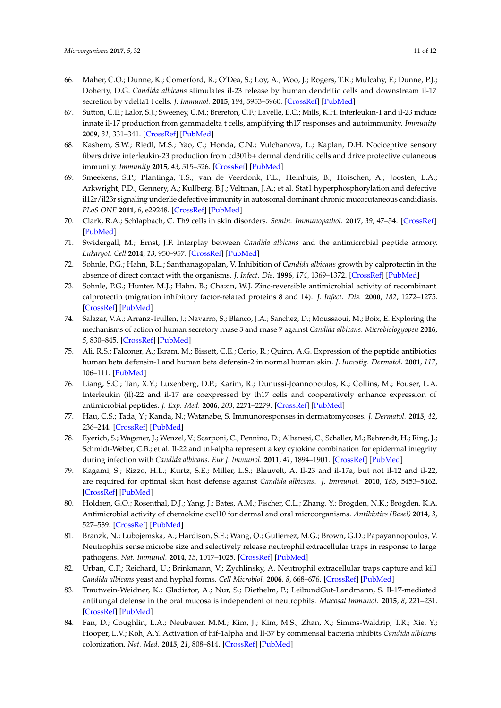- <span id="page-10-0"></span>66. Maher, C.O.; Dunne, K.; Comerford, R.; O'Dea, S.; Loy, A.; Woo, J.; Rogers, T.R.; Mulcahy, F.; Dunne, P.J.; Doherty, D.G. *Candida albicans* stimulates il-23 release by human dendritic cells and downstream il-17 secretion by vdelta1 t cells. *J. Immunol.* **2015**, *194*, 5953–5960. [\[CrossRef\]](http://dx.doi.org/10.4049/jimmunol.1403066) [\[PubMed\]](http://www.ncbi.nlm.nih.gov/pubmed/25964489)
- <span id="page-10-1"></span>67. Sutton, C.E.; Lalor, S.J.; Sweeney, C.M.; Brereton, C.F.; Lavelle, E.C.; Mills, K.H. Interleukin-1 and il-23 induce innate il-17 production from gammadelta t cells, amplifying th17 responses and autoimmunity. *Immunity* **2009**, *31*, 331–341. [\[CrossRef\]](http://dx.doi.org/10.1016/j.immuni.2009.08.001) [\[PubMed\]](http://www.ncbi.nlm.nih.gov/pubmed/19682929)
- <span id="page-10-2"></span>68. Kashem, S.W.; Riedl, M.S.; Yao, C.; Honda, C.N.; Vulchanova, L.; Kaplan, D.H. Nociceptive sensory fibers drive interleukin-23 production from cd301b+ dermal dendritic cells and drive protective cutaneous immunity. *Immunity* **2015**, *43*, 515–526. [\[CrossRef\]](http://dx.doi.org/10.1016/j.immuni.2015.08.016) [\[PubMed\]](http://www.ncbi.nlm.nih.gov/pubmed/26377898)
- <span id="page-10-3"></span>69. Smeekens, S.P.; Plantinga, T.S.; van de Veerdonk, F.L.; Heinhuis, B.; Hoischen, A.; Joosten, L.A.; Arkwright, P.D.; Gennery, A.; Kullberg, B.J.; Veltman, J.A.; et al. Stat1 hyperphosphorylation and defective il12r/il23r signaling underlie defective immunity in autosomal dominant chronic mucocutaneous candidiasis. *PLoS ONE* **2011**, *6*, e29248. [\[CrossRef\]](http://dx.doi.org/10.1371/journal.pone.0029248) [\[PubMed\]](http://www.ncbi.nlm.nih.gov/pubmed/22195034)
- <span id="page-10-4"></span>70. Clark, R.A.; Schlapbach, C. Th9 cells in skin disorders. *Semin. Immunopathol.* **2017**, *39*, 47–54. [\[CrossRef\]](http://dx.doi.org/10.1007/s00281-016-0607-8) [\[PubMed\]](http://www.ncbi.nlm.nih.gov/pubmed/27896634)
- <span id="page-10-5"></span>71. Swidergall, M.; Ernst, J.F. Interplay between *Candida albicans* and the antimicrobial peptide armory. *Eukaryot. Cell* **2014**, *13*, 950–957. [\[CrossRef\]](http://dx.doi.org/10.1128/EC.00093-14) [\[PubMed\]](http://www.ncbi.nlm.nih.gov/pubmed/24951441)
- <span id="page-10-6"></span>72. Sohnle, P.G.; Hahn, B.L.; Santhanagopalan, V. Inhibition of *Candida albicans* growth by calprotectin in the absence of direct contact with the organisms. *J. Infect. Dis.* **1996**, *174*, 1369–1372. [\[CrossRef\]](http://dx.doi.org/10.1093/infdis/174.6.1369) [\[PubMed\]](http://www.ncbi.nlm.nih.gov/pubmed/8940237)
- <span id="page-10-7"></span>73. Sohnle, P.G.; Hunter, M.J.; Hahn, B.; Chazin, W.J. Zinc-reversible antimicrobial activity of recombinant calprotectin (migration inhibitory factor-related proteins 8 and 14). *J. Infect. Dis.* **2000**, *182*, 1272–1275. [\[CrossRef\]](http://dx.doi.org/10.1086/315810) [\[PubMed\]](http://www.ncbi.nlm.nih.gov/pubmed/10979933)
- <span id="page-10-8"></span>74. Salazar, V.A.; Arranz-Trullen, J.; Navarro, S.; Blanco, J.A.; Sanchez, D.; Moussaoui, M.; Boix, E. Exploring the mechanisms of action of human secretory rnase 3 and rnase 7 against *Candida albicans*. *Microbiologyopen* **2016**, *5*, 830–845. [\[CrossRef\]](http://dx.doi.org/10.1002/mbo3.373) [\[PubMed\]](http://www.ncbi.nlm.nih.gov/pubmed/27277554)
- <span id="page-10-9"></span>75. Ali, R.S.; Falconer, A.; Ikram, M.; Bissett, C.E.; Cerio, R.; Quinn, A.G. Expression of the peptide antibiotics human beta defensin-1 and human beta defensin-2 in normal human skin. *J. Investig. Dermatol.* **2001**, *117*, 106–111. [\[PubMed\]](http://www.ncbi.nlm.nih.gov/pubmed/11442756)
- <span id="page-10-10"></span>76. Liang, S.C.; Tan, X.Y.; Luxenberg, D.P.; Karim, R.; Dunussi-Joannopoulos, K.; Collins, M.; Fouser, L.A. Interleukin (il)-22 and il-17 are coexpressed by th17 cells and cooperatively enhance expression of antimicrobial peptides. *J. Exp. Med.* **2006**, *203*, 2271–2279. [\[CrossRef\]](http://dx.doi.org/10.1084/jem.20061308) [\[PubMed\]](http://www.ncbi.nlm.nih.gov/pubmed/16982811)
- <span id="page-10-11"></span>77. Hau, C.S.; Tada, Y.; Kanda, N.; Watanabe, S. Immunoresponses in dermatomycoses. *J. Dermatol.* **2015**, *42*, 236–244. [\[CrossRef\]](http://dx.doi.org/10.1111/1346-8138.12718) [\[PubMed\]](http://www.ncbi.nlm.nih.gov/pubmed/25736316)
- <span id="page-10-12"></span>78. Eyerich, S.; Wagener, J.; Wenzel, V.; Scarponi, C.; Pennino, D.; Albanesi, C.; Schaller, M.; Behrendt, H.; Ring, J.; Schmidt-Weber, C.B.; et al. Il-22 and tnf-alpha represent a key cytokine combination for epidermal integrity during infection with *Candida albicans*. *Eur J. Immunol.* **2011**, *41*, 1894–1901. [\[CrossRef\]](http://dx.doi.org/10.1002/eji.201041197) [\[PubMed\]](http://www.ncbi.nlm.nih.gov/pubmed/21469124)
- <span id="page-10-13"></span>79. Kagami, S.; Rizzo, H.L.; Kurtz, S.E.; Miller, L.S.; Blauvelt, A. Il-23 and il-17a, but not il-12 and il-22, are required for optimal skin host defense against *Candida albicans*. *J. Immunol.* **2010**, *185*, 5453–5462. [\[CrossRef\]](http://dx.doi.org/10.4049/jimmunol.1001153) [\[PubMed\]](http://www.ncbi.nlm.nih.gov/pubmed/20921529)
- <span id="page-10-14"></span>80. Holdren, G.O.; Rosenthal, D.J.; Yang, J.; Bates, A.M.; Fischer, C.L.; Zhang, Y.; Brogden, N.K.; Brogden, K.A. Antimicrobial activity of chemokine cxcl10 for dermal and oral microorganisms. *Antibiotics (Basel)* **2014**, *3*, 527–539. [\[CrossRef\]](http://dx.doi.org/10.3390/antibiotics3040527) [\[PubMed\]](http://www.ncbi.nlm.nih.gov/pubmed/25859394)
- <span id="page-10-15"></span>81. Branzk, N.; Lubojemska, A.; Hardison, S.E.; Wang, Q.; Gutierrez, M.G.; Brown, G.D.; Papayannopoulos, V. Neutrophils sense microbe size and selectively release neutrophil extracellular traps in response to large pathogens. *Nat. Immunol.* **2014**, *15*, 1017–1025. [\[CrossRef\]](http://dx.doi.org/10.1038/ni.2987) [\[PubMed\]](http://www.ncbi.nlm.nih.gov/pubmed/25217981)
- <span id="page-10-16"></span>82. Urban, C.F.; Reichard, U.; Brinkmann, V.; Zychlinsky, A. Neutrophil extracellular traps capture and kill *Candida albicans* yeast and hyphal forms. *Cell Microbiol.* **2006**, *8*, 668–676. [\[CrossRef\]](http://dx.doi.org/10.1111/j.1462-5822.2005.00659.x) [\[PubMed\]](http://www.ncbi.nlm.nih.gov/pubmed/16548892)
- <span id="page-10-17"></span>83. Trautwein-Weidner, K.; Gladiator, A.; Nur, S.; Diethelm, P.; LeibundGut-Landmann, S. Il-17-mediated antifungal defense in the oral mucosa is independent of neutrophils. *Mucosal Immunol.* **2015**, *8*, 221–231. [\[CrossRef\]](http://dx.doi.org/10.1038/mi.2014.57) [\[PubMed\]](http://www.ncbi.nlm.nih.gov/pubmed/25005360)
- <span id="page-10-18"></span>84. Fan, D.; Coughlin, L.A.; Neubauer, M.M.; Kim, J.; Kim, M.S.; Zhan, X.; Simms-Waldrip, T.R.; Xie, Y.; Hooper, L.V.; Koh, A.Y. Activation of hif-1alpha and ll-37 by commensal bacteria inhibits *Candida albicans* colonization. *Nat. Med.* **2015**, *21*, 808–814. [\[CrossRef\]](http://dx.doi.org/10.1038/nm.3871) [\[PubMed\]](http://www.ncbi.nlm.nih.gov/pubmed/26053625)